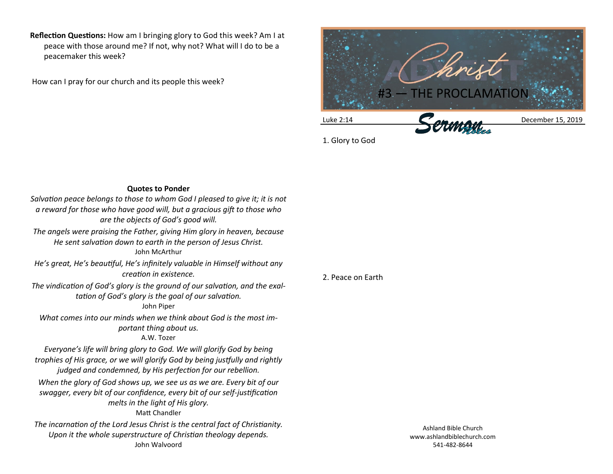**Reflection Questions:** How am I bringing glory to God this week? Am I at peace with those around me? If not, why not? What will I do to be a peacemaker this week?

How can I pray for our church and its people this week?



1. Glory to God

## **Quotes to Ponder**

*Salvation peace belongs to those to whom God I pleased to give it; it is not a reward for those who have good will, but a gracious gift to those who are the objects of God's good will.*

*The angels were praising the Father, giving Him glory in heaven, because He sent salvation down to earth in the person of Jesus Christ.* John McArthur

*He's great, He's beautiful, He's infinitely valuable in Himself without any creation in existence.*

*The vindication of God's glory is the ground of our salvation, and the exaltation of God's glory is the goal of our salvation.*

## John Piper

*What comes into our minds when we think about God is the most important thing about us.* A.W. Tozer

*Everyone's life will bring glory to God. We will glorify God by being trophies of His grace, or we will glorify God by being justfully and rightly judged and condemned, by His perfection for our rebellion.*

*When the glory of God shows up, we see us as we are. Every bit of our swagger, every bit of our confidence, every bit of our self-justification melts in the light of His glory.* Matt Chandler

*The incarnation of the Lord Jesus Christ is the central fact of Christianity. Upon it the whole superstructure of Christian theology depends.* John Walvoord

2. Peace on Earth

Ashland Bible Church www.ashlandbiblechurch.com 541-482-8644